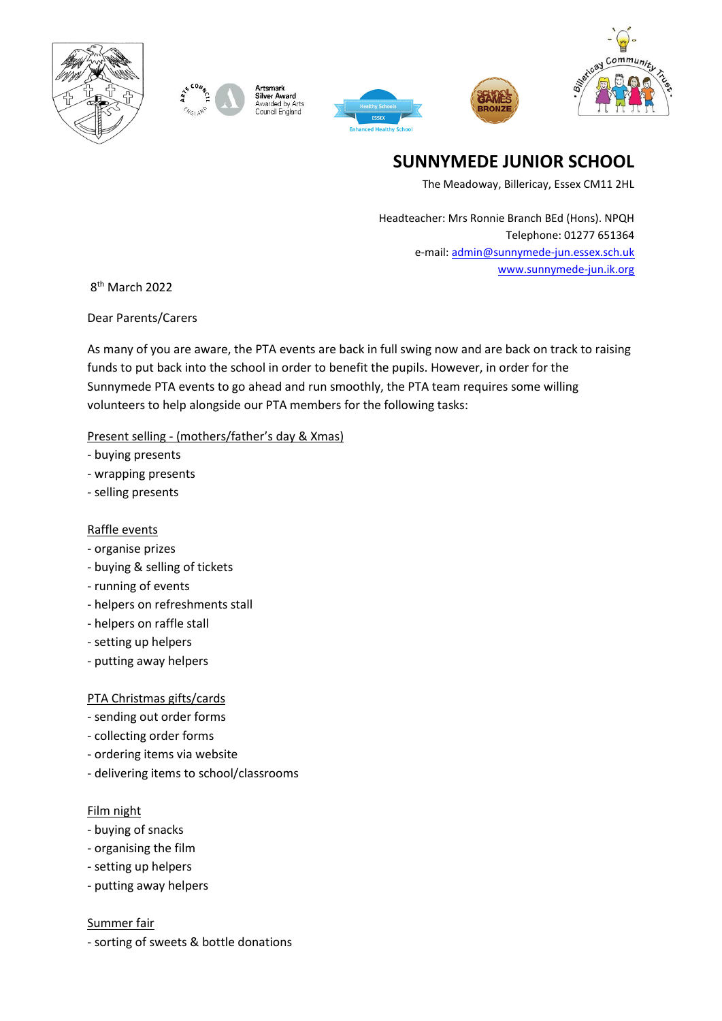



ilver Award ------<br>warded by Arts<br>puncil England





# **SUNNYMEDE JUNIOR SCHOOL**

The Meadoway, Billericay, Essex CM11 2HL

Headteacher: Mrs Ronnie Branch BEd (Hons). NPQH Telephone: 01277 651364 e-mail[: admin@sunnymede-jun.essex.sch.uk](mailto:admin@sunnymede-jun.essex.sch.uk) [www.sunnymede-jun.ik.org](http://www.sunnymede-jun.ik.org/)

8 th March 2022

Dear Parents/Carers

As many of you are aware, the PTA events are back in full swing now and are back on track to raising funds to put back into the school in order to benefit the pupils. However, in order for the Sunnymede PTA events to go ahead and run smoothly, the PTA team requires some willing volunteers to help alongside our PTA members for the following tasks:

## Present selling - (mothers/father's day & Xmas)

- buying presents
- wrapping presents
- selling presents

## Raffle events

- organise prizes
- buying & selling of tickets
- running of events
- helpers on refreshments stall
- helpers on raffle stall
- setting up helpers
- putting away helpers

## PTA Christmas gifts/cards

- sending out order forms
- collecting order forms
- ordering items via website
- delivering items to school/classrooms

#### Film night

- buying of snacks
- organising the film
- setting up helpers
- putting away helpers

Summer fair

- sorting of sweets & bottle donations